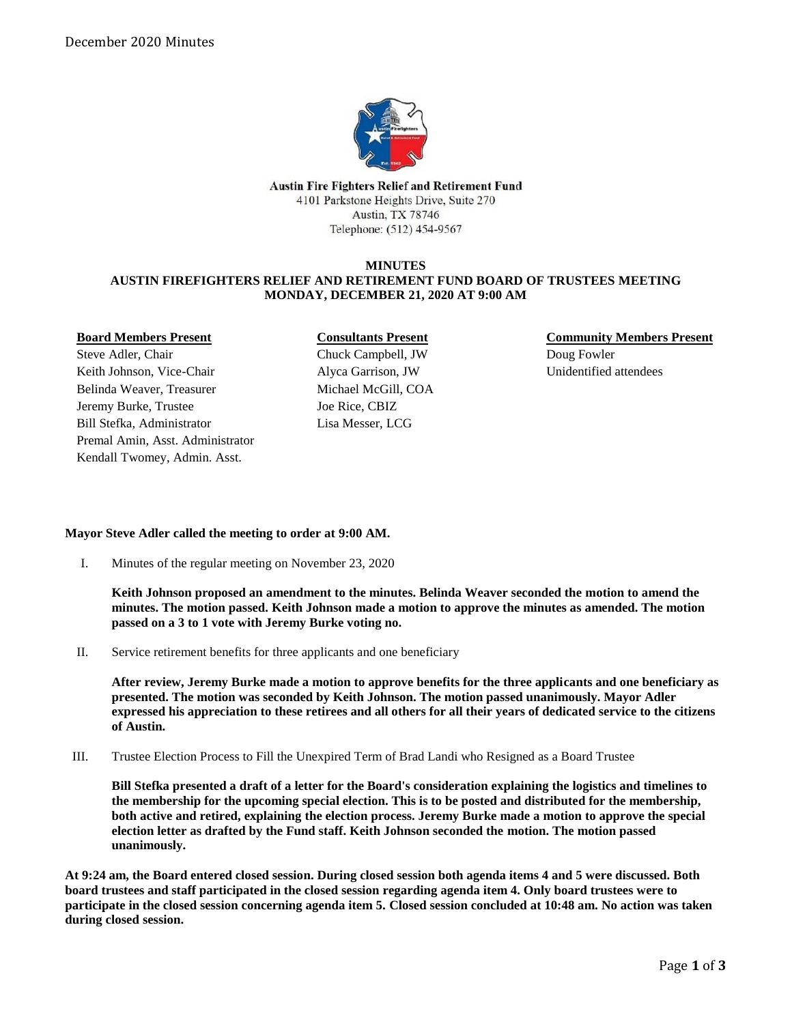

**Austin Fire Fighters Relief and Retirement Fund** 4101 Parkstone Heights Drive, Suite 270 Austin, TX 78746 Telephone: (512) 454-9567

## **MINUTES AUSTIN FIREFIGHTERS RELIEF AND RETIREMENT FUND BOARD OF TRUSTEES MEETING MONDAY, DECEMBER 21, 2020 AT 9:00 AM**

**Board Members Present**

Steve Adler, Chair Keith Johnson, Vice-Chair Belinda Weaver, Treasurer Jeremy Burke, Trustee Bill Stefka, Administrator Premal Amin, Asst. Administrator Kendall Twomey, Admin. Asst.

# **Consultants Present** Chuck Campbell, JW Alyca Garrison, JW Michael McGill, COA Joe Rice, CBIZ Lisa Messer, LCG

**Community Members Present** Doug Fowler Unidentified attendees

# **Mayor Steve Adler called the meeting to order at 9:00 AM.**

I. Minutes of the regular meeting on November 23, 2020

**Keith Johnson proposed an amendment to the minutes. Belinda Weaver seconded the motion to amend the minutes. The motion passed. Keith Johnson made a motion to approve the minutes as amended. The motion passed on a 3 to 1 vote with Jeremy Burke voting no.**

II. Service retirement benefits for three applicants and one beneficiary

**After review, Jeremy Burke made a motion to approve benefits for the three applicants and one beneficiary as presented. The motion was seconded by Keith Johnson. The motion passed unanimously. Mayor Adler expressed his appreciation to these retirees and all others for all their years of dedicated service to the citizens of Austin.**

III. Trustee Election Process to Fill the Unexpired Term of Brad Landi who Resigned as a Board Trustee

**Bill Stefka presented a draft of a letter for the Board's consideration explaining the logistics and timelines to the membership for the upcoming special election. This is to be posted and distributed for the membership, both active and retired, explaining the election process. Jeremy Burke made a motion to approve the special election letter as drafted by the Fund staff. Keith Johnson seconded the motion. The motion passed unanimously.**

**At 9:24 am, the Board entered closed session. During closed session both agenda items 4 and 5 were discussed. Both board trustees and staff participated in the closed session regarding agenda item 4. Only board trustees were to participate in the closed session concerning agenda item 5. Closed session concluded at 10:48 am. No action was taken during closed session.**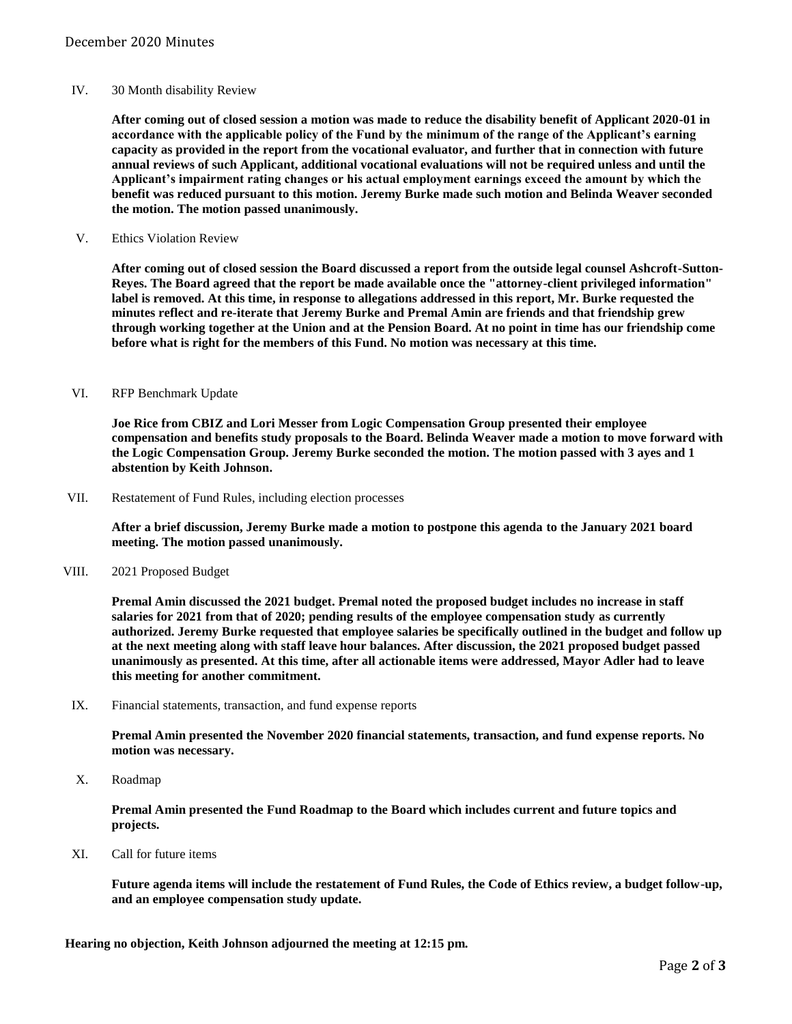### IV. 30 Month disability Review

**After coming out of closed session a motion was made to reduce the disability benefit of Applicant 2020-01 in accordance with the applicable policy of the Fund by the minimum of the range of the Applicant's earning capacity as provided in the report from the vocational evaluator, and further that in connection with future annual reviews of such Applicant, additional vocational evaluations will not be required unless and until the Applicant's impairment rating changes or his actual employment earnings exceed the amount by which the benefit was reduced pursuant to this motion. Jeremy Burke made such motion and Belinda Weaver seconded the motion. The motion passed unanimously.**

V. Ethics Violation Review

**After coming out of closed session the Board discussed a report from the outside legal counsel Ashcroft-Sutton-Reyes. The Board agreed that the report be made available once the "attorney-client privileged information" label is removed. At this time, in response to allegations addressed in this report, Mr. Burke requested the minutes reflect and re-iterate that Jeremy Burke and Premal Amin are friends and that friendship grew through working together at the Union and at the Pension Board. At no point in time has our friendship come before what is right for the members of this Fund. No motion was necessary at this time.**

### VI. RFP Benchmark Update

**Joe Rice from CBIZ and Lori Messer from Logic Compensation Group presented their employee compensation and benefits study proposals to the Board. Belinda Weaver made a motion to move forward with the Logic Compensation Group. Jeremy Burke seconded the motion. The motion passed with 3 ayes and 1 abstention by Keith Johnson.**

VII. Restatement of Fund Rules, including election processes

**After a brief discussion, Jeremy Burke made a motion to postpone this agenda to the January 2021 board meeting. The motion passed unanimously.**

VIII. 2021 Proposed Budget

**Premal Amin discussed the 2021 budget. Premal noted the proposed budget includes no increase in staff salaries for 2021 from that of 2020; pending results of the employee compensation study as currently authorized. Jeremy Burke requested that employee salaries be specifically outlined in the budget and follow up at the next meeting along with staff leave hour balances. After discussion, the 2021 proposed budget passed unanimously as presented. At this time, after all actionable items were addressed, Mayor Adler had to leave this meeting for another commitment.**

IX. Financial statements, transaction, and fund expense reports

**Premal Amin presented the November 2020 financial statements, transaction, and fund expense reports. No motion was necessary.**

X. Roadmap

**Premal Amin presented the Fund Roadmap to the Board which includes current and future topics and projects.**

XI. Call for future items

**Future agenda items will include the restatement of Fund Rules, the Code of Ethics review, a budget follow-up, and an employee compensation study update.**

**Hearing no objection, Keith Johnson adjourned the meeting at 12:15 pm.**